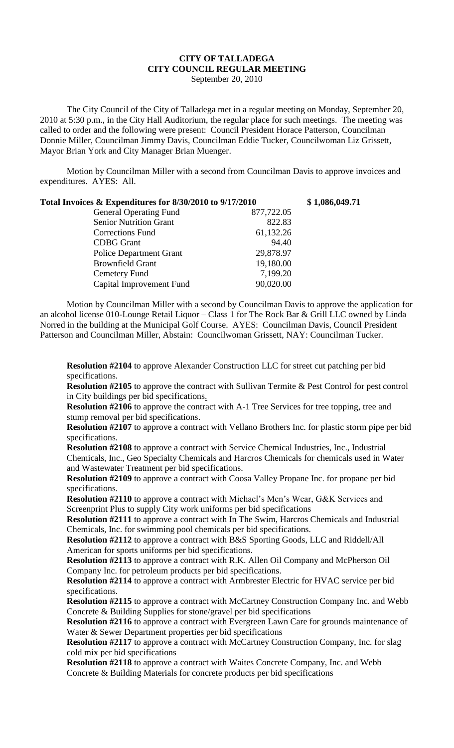## **CITY OF TALLADEGA CITY COUNCIL REGULAR MEETING** September 20, 2010

The City Council of the City of Talladega met in a regular meeting on Monday, September 20, 2010 at 5:30 p.m., in the City Hall Auditorium, the regular place for such meetings. The meeting was called to order and the following were present: Council President Horace Patterson, Councilman Donnie Miller, Councilman Jimmy Davis, Councilman Eddie Tucker, Councilwoman Liz Grissett, Mayor Brian York and City Manager Brian Muenger.

Motion by Councilman Miller with a second from Councilman Davis to approve invoices and expenditures. AYES: All.

| Total Invoices & Expenditures for 8/30/2010 to 9/17/2010 |            | \$1,086,049.71 |
|----------------------------------------------------------|------------|----------------|
| <b>General Operating Fund</b>                            | 877,722.05 |                |
| <b>Senior Nutrition Grant</b>                            | 822.83     |                |
| <b>Corrections Fund</b>                                  | 61,132.26  |                |
| <b>CDBG</b> Grant                                        | 94.40      |                |
| <b>Police Department Grant</b>                           | 29,878.97  |                |
| <b>Brownfield Grant</b>                                  | 19,180.00  |                |
| Cemetery Fund                                            | 7,199.20   |                |
| Capital Improvement Fund                                 | 90,020.00  |                |

Motion by Councilman Miller with a second by Councilman Davis to approve the application for an alcohol license 010-Lounge Retail Liquor – Class 1 for The Rock Bar & Grill LLC owned by Linda Norred in the building at the Municipal Golf Course. AYES: Councilman Davis, Council President Patterson and Councilman Miller, Abstain: Councilwoman Grissett, NAY: Councilman Tucker.

**Resolution #2104** to approve Alexander Construction LLC for street cut patching per bid specifications.

**Resolution #2105** to approve the contract with Sullivan Termite & Pest Control for pest control in City buildings per bid specifications.

**Resolution #2106** to approve the contract with A-1 Tree Services for tree topping, tree and stump removal per bid specifications.

**Resolution #2107** to approve a contract with Vellano Brothers Inc. for plastic storm pipe per bid specifications.

**Resolution #2108** to approve a contract with Service Chemical Industries, Inc., Industrial Chemicals, Inc., Geo Specialty Chemicals and Harcros Chemicals for chemicals used in Water and Wastewater Treatment per bid specifications.

**Resolution #2109** to approve a contract with Coosa Valley Propane Inc. for propane per bid specifications.

**Resolution #2110** to approve a contract with Michael's Men's Wear, G&K Services and Screenprint Plus to supply City work uniforms per bid specifications

**Resolution #2111** to approve a contract with In The Swim, Harcros Chemicals and Industrial Chemicals, Inc. for swimming pool chemicals per bid specifications.

**Resolution #2112** to approve a contract with B&S Sporting Goods, LLC and Riddell/All American for sports uniforms per bid specifications.

**Resolution #2113** to approve a contract with R.K. Allen Oil Company and McPherson Oil Company Inc. for petroleum products per bid specifications.

**Resolution #2114** to approve a contract with Armbrester Electric for HVAC service per bid specifications.

**Resolution #2115** to approve a contract with McCartney Construction Company Inc. and Webb Concrete & Building Supplies for stone/gravel per bid specifications

**Resolution #2116** to approve a contract with Evergreen Lawn Care for grounds maintenance of Water & Sewer Department properties per bid specifications

**Resolution #2117** to approve a contract with McCartney Construction Company, Inc. for slag cold mix per bid specifications

**Resolution #2118** to approve a contract with Waites Concrete Company, Inc. and Webb Concrete & Building Materials for concrete products per bid specifications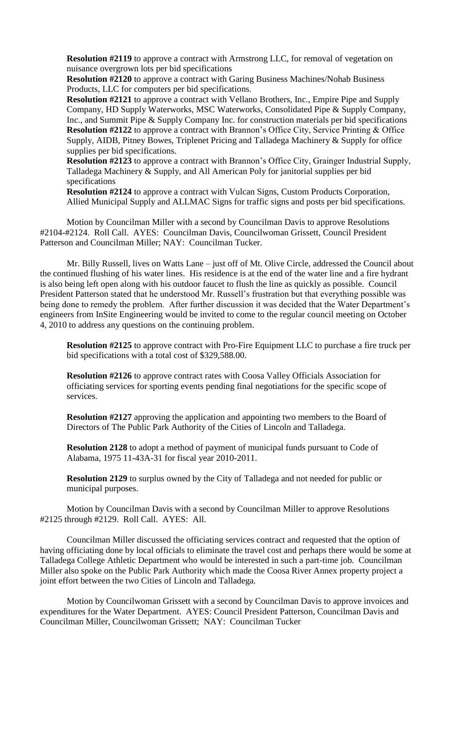**Resolution #2119** to approve a contract with Armstrong LLC, for removal of vegetation on nuisance overgrown lots per bid specifications

**Resolution #2120** to approve a contract with Garing Business Machines/Nohab Business Products, LLC for computers per bid specifications.

**Resolution #2121** to approve a contract with Vellano Brothers, Inc., Empire Pipe and Supply Company, HD Supply Waterworks, MSC Waterworks, Consolidated Pipe & Supply Company, Inc., and Summit Pipe & Supply Company Inc. for construction materials per bid specifications **Resolution #2122** to approve a contract with Brannon's Office City, Service Printing & Office Supply, AIDB, Pitney Bowes, Triplenet Pricing and Talladega Machinery & Supply for office supplies per bid specifications.

**Resolution #2123** to approve a contract with Brannon's Office City, Grainger Industrial Supply, Talladega Machinery & Supply, and All American Poly for janitorial supplies per bid specifications

**Resolution #2124** to approve a contract with Vulcan Signs, Custom Products Corporation, Allied Municipal Supply and ALLMAC Signs for traffic signs and posts per bid specifications.

Motion by Councilman Miller with a second by Councilman Davis to approve Resolutions #2104-#2124. Roll Call. AYES: Councilman Davis, Councilwoman Grissett, Council President Patterson and Councilman Miller; NAY: Councilman Tucker.

Mr. Billy Russell, lives on Watts Lane – just off of Mt. Olive Circle, addressed the Council about the continued flushing of his water lines. His residence is at the end of the water line and a fire hydrant is also being left open along with his outdoor faucet to flush the line as quickly as possible. Council President Patterson stated that he understood Mr. Russell's frustration but that everything possible was being done to remedy the problem. After further discussion it was decided that the Water Department's engineers from InSite Engineering would be invited to come to the regular council meeting on October 4, 2010 to address any questions on the continuing problem.

**Resolution #2125** to approve contract with Pro-Fire Equipment LLC to purchase a fire truck per bid specifications with a total cost of \$329,588.00.

**Resolution #2126** to approve contract rates with Coosa Valley Officials Association for officiating services for sporting events pending final negotiations for the specific scope of services.

**Resolution #2127** approving the application and appointing two members to the Board of Directors of The Public Park Authority of the Cities of Lincoln and Talladega.

**Resolution 2128** to adopt a method of payment of municipal funds pursuant to Code of Alabama, 1975 11-43A-31 for fiscal year 2010-2011.

**Resolution 2129** to surplus owned by the City of Talladega and not needed for public or municipal purposes.

Motion by Councilman Davis with a second by Councilman Miller to approve Resolutions #2125 through #2129. Roll Call. AYES: All.

Councilman Miller discussed the officiating services contract and requested that the option of having officiating done by local officials to eliminate the travel cost and perhaps there would be some at Talladega College Athletic Department who would be interested in such a part-time job. Councilman Miller also spoke on the Public Park Authority which made the Coosa River Annex property project a joint effort between the two Cities of Lincoln and Talladega.

Motion by Councilwoman Grissett with a second by Councilman Davis to approve invoices and expenditures for the Water Department. AYES: Council President Patterson, Councilman Davis and Councilman Miller, Councilwoman Grissett; NAY: Councilman Tucker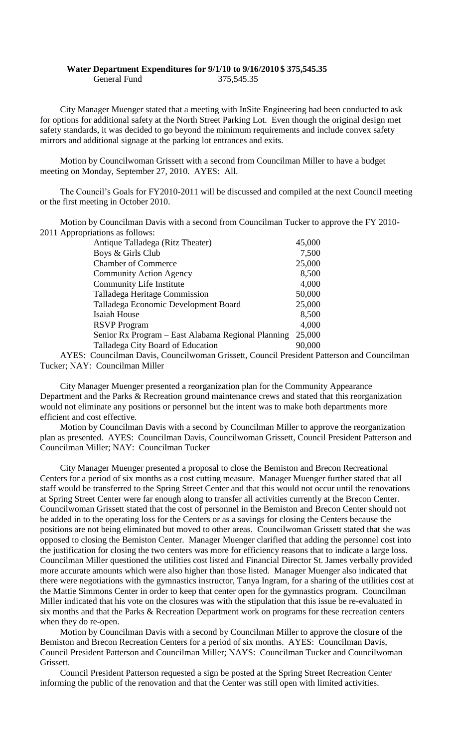## **Water Department Expenditures for 9/1/10 to 9/16/2010 \$ 375,545.35** General Fund 375,545.35

City Manager Muenger stated that a meeting with InSite Engineering had been conducted to ask for options for additional safety at the North Street Parking Lot. Even though the original design met safety standards, it was decided to go beyond the minimum requirements and include convex safety mirrors and additional signage at the parking lot entrances and exits.

Motion by Councilwoman Grissett with a second from Councilman Miller to have a budget meeting on Monday, September 27, 2010. AYES: All.

The Council's Goals for FY2010-2011 will be discussed and compiled at the next Council meeting or the first meeting in October 2010.

Motion by Councilman Davis with a second from Councilman Tucker to approve the FY 2010- 2011 Appropriations as follows:

| Antique Talladega (Ritz Theater)                   | 45,000 |
|----------------------------------------------------|--------|
| Boys & Girls Club                                  | 7,500  |
| <b>Chamber of Commerce</b>                         | 25,000 |
| <b>Community Action Agency</b>                     | 8,500  |
| <b>Community Life Institute</b>                    | 4,000  |
| Talladega Heritage Commission                      | 50,000 |
| Talladega Economic Development Board               | 25,000 |
| Isaiah House                                       | 8,500  |
| <b>RSVP</b> Program                                | 4,000  |
| Senior Rx Program – East Alabama Regional Planning | 25,000 |
| Talladega City Board of Education                  | 90.000 |

AYES: Councilman Davis, Councilwoman Grissett, Council President Patterson and Councilman Tucker; NAY: Councilman Miller

City Manager Muenger presented a reorganization plan for the Community Appearance Department and the Parks & Recreation ground maintenance crews and stated that this reorganization would not eliminate any positions or personnel but the intent was to make both departments more efficient and cost effective.

Motion by Councilman Davis with a second by Councilman Miller to approve the reorganization plan as presented. AYES: Councilman Davis, Councilwoman Grissett, Council President Patterson and Councilman Miller; NAY: Councilman Tucker

City Manager Muenger presented a proposal to close the Bemiston and Brecon Recreational Centers for a period of six months as a cost cutting measure. Manager Muenger further stated that all staff would be transferred to the Spring Street Center and that this would not occur until the renovations at Spring Street Center were far enough along to transfer all activities currently at the Brecon Center. Councilwoman Grissett stated that the cost of personnel in the Bemiston and Brecon Center should not be added in to the operating loss for the Centers or as a savings for closing the Centers because the positions are not being eliminated but moved to other areas. Councilwoman Grissett stated that she was opposed to closing the Bemiston Center. Manager Muenger clarified that adding the personnel cost into the justification for closing the two centers was more for efficiency reasons that to indicate a large loss. Councilman Miller questioned the utilities cost listed and Financial Director St. James verbally provided more accurate amounts which were also higher than those listed. Manager Muenger also indicated that there were negotiations with the gymnastics instructor, Tanya Ingram, for a sharing of the utilities cost at the Mattie Simmons Center in order to keep that center open for the gymnastics program. Councilman Miller indicated that his vote on the closures was with the stipulation that this issue be re-evaluated in six months and that the Parks & Recreation Department work on programs for these recreation centers when they do re-open.

Motion by Councilman Davis with a second by Councilman Miller to approve the closure of the Bemiston and Brecon Recreation Centers for a period of six months. AYES: Councilman Davis, Council President Patterson and Councilman Miller; NAYS: Councilman Tucker and Councilwoman Grissett.

Council President Patterson requested a sign be posted at the Spring Street Recreation Center informing the public of the renovation and that the Center was still open with limited activities.